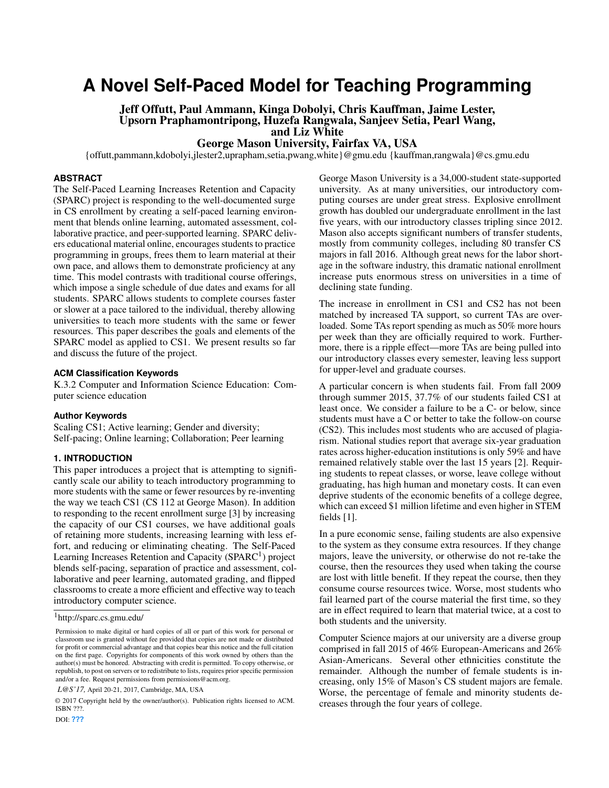# **A Novel Self-Paced Model for Teaching Programming**

Jeff Offutt, Paul Ammann, Kinga Dobolyi, Chris Kauffman, Jaime Lester, Upsorn Praphamontripong, Huzefa Rangwala, Sanjeev Setia, Pearl Wang, and Liz White

George Mason University, Fairfax VA, USA

{offutt,pammann,kdobolyi,jlester2,uprapham,setia,pwang,white}@gmu.edu {kauffman,rangwala}@cs.gmu.edu

#### **ABSTRACT**

The Self-Paced Learning Increases Retention and Capacity (SPARC) project is responding to the well-documented surge in CS enrollment by creating a self-paced learning environment that blends online learning, automated assessment, collaborative practice, and peer-supported learning. SPARC delivers educational material online, encourages students to practice programming in groups, frees them to learn material at their own pace, and allows them to demonstrate proficiency at any time. This model contrasts with traditional course offerings, which impose a single schedule of due dates and exams for all students. SPARC allows students to complete courses faster or slower at a pace tailored to the individual, thereby allowing universities to teach more students with the same or fewer resources. This paper describes the goals and elements of the SPARC model as applied to CS1. We present results so far and discuss the future of the project.

#### **ACM Classification Keywords**

K.3.2 Computer and Information Science Education: Computer science education

#### **Author Keywords**

Scaling CS1; Active learning; Gender and diversity; Self-pacing; Online learning; Collaboration; Peer learning

#### **1. INTRODUCTION**

This paper introduces a project that is attempting to significantly scale our ability to teach introductory programming to more students with the same or fewer resources by re-inventing the way we teach CS1 (CS 112 at George Mason). In addition to responding to the recent enrollment surge [\[3\]](#page-3-0) by increasing the capacity of our CS1 courses, we have additional goals of retaining more students, increasing learning with less effort, and reducing or eliminating cheating. The Self-Paced Learning Increases Retention and Capacity (SPARC<sup>[1](#page-0-0)</sup>) project blends self-pacing, separation of practice and assessment, collaborative and peer learning, automated grading, and flipped classrooms to create a more efficient and effective way to teach introductory computer science.

*L@S'17,* April 20-21, 2017, Cambridge, MA, USA

© 2017 Copyright held by the owner/author(s). Publication rights licensed to ACM. ISBN ???.

George Mason University is a 34,000-student state-supported university. As at many universities, our introductory computing courses are under great stress. Explosive enrollment growth has doubled our undergraduate enrollment in the last five years, with our introductory classes tripling since 2012. Mason also accepts significant numbers of transfer students, mostly from community colleges, including 80 transfer CS majors in fall 2016. Although great news for the labor shortage in the software industry, this dramatic national enrollment increase puts enormous stress on universities in a time of declining state funding.

The increase in enrollment in CS1 and CS2 has not been matched by increased TA support, so current TAs are overloaded. Some TAs report spending as much as 50% more hours per week than they are officially required to work. Furthermore, there is a ripple effect—more TAs are being pulled into our introductory classes every semester, leaving less support for upper-level and graduate courses.

A particular concern is when students fail. From fall 2009 through summer 2015, 37.7% of our students failed CS1 at least once. We consider a failure to be a C- or below, since students must have a C or better to take the follow-on course (CS2). This includes most students who are accused of plagiarism. National studies report that average six-year graduation rates across higher-education institutions is only 59% and have remained relatively stable over the last 15 years [\[2\]](#page-3-1). Requiring students to repeat classes, or worse, leave college without graduating, has high human and monetary costs. It can even deprive students of the economic benefits of a college degree, which can exceed \$1 million lifetime and even higher in STEM fields [\[1\]](#page-3-2).

In a pure economic sense, failing students are also expensive to the system as they consume extra resources. If they change majors, leave the university, or otherwise do not re-take the course, then the resources they used when taking the course are lost with little benefit. If they repeat the course, then they consume course resources twice. Worse, most students who fail learned part of the course material the first time, so they are in effect required to learn that material twice, at a cost to both students and the university.

Computer Science majors at our university are a diverse group comprised in fall 2015 of 46% European-Americans and 26% Asian-Americans. Several other ethnicities constitute the remainder. Although the number of female students is increasing, only 15% of Mason's CS student majors are female. Worse, the percentage of female and minority students decreases through the four years of college.

<span id="page-0-0"></span><sup>1</sup>http://sparc.cs.gmu.edu/

Permission to make digital or hard copies of all or part of this work for personal or classroom use is granted without fee provided that copies are not made or distributed for profit or commercial advantage and that copies bear this notice and the full citation on the first page. Copyrights for components of this work owned by others than the author(s) must be honored. Abstracting with credit is permitted. To copy otherwise, or republish, to post on servers or to redistribute to lists, requires prior specific permission and/or a fee. Request permissions from permissions@acm.org.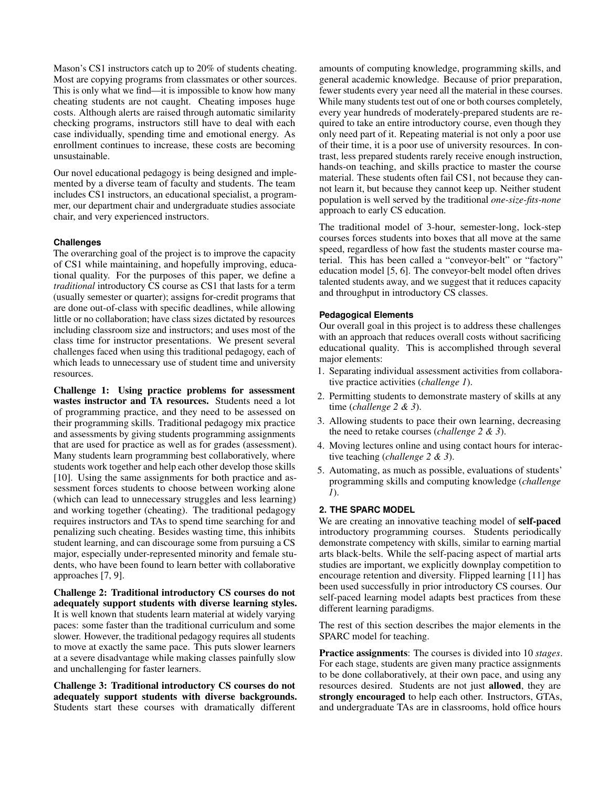Mason's CS1 instructors catch up to 20% of students cheating. Most are copying programs from classmates or other sources. This is only what we find—it is impossible to know how many cheating students are not caught. Cheating imposes huge costs. Although alerts are raised through automatic similarity checking programs, instructors still have to deal with each case individually, spending time and emotional energy. As enrollment continues to increase, these costs are becoming unsustainable.

Our novel educational pedagogy is being designed and implemented by a diverse team of faculty and students. The team includes CS1 instructors, an educational specialist, a programmer, our department chair and undergraduate studies associate chair, and very experienced instructors.

#### **Challenges**

The overarching goal of the project is to improve the capacity of CS1 while maintaining, and hopefully improving, educational quality. For the purposes of this paper, we define a *traditional* introductory CS course as CS1 that lasts for a term (usually semester or quarter); assigns for-credit programs that are done out-of-class with specific deadlines, while allowing little or no collaboration; have class sizes dictated by resources including classroom size and instructors; and uses most of the class time for instructor presentations. We present several challenges faced when using this traditional pedagogy, each of which leads to unnecessary use of student time and university resources.

Challenge 1: Using practice problems for assessment wastes instructor and TA resources. Students need a lot of programming practice, and they need to be assessed on their programming skills. Traditional pedagogy mix practice and assessments by giving students programming assignments that are used for practice as well as for grades (assessment). Many students learn programming best collaboratively, where students work together and help each other develop those skills [\[10\]](#page-3-3). Using the same assignments for both practice and assessment forces students to choose between working alone (which can lead to unnecessary struggles and less learning) and working together (cheating). The traditional pedagogy requires instructors and TAs to spend time searching for and penalizing such cheating. Besides wasting time, this inhibits student learning, and can discourage some from pursuing a CS major, especially under-represented minority and female students, who have been found to learn better with collaborative approaches [\[7,](#page-3-4) [9\]](#page-3-5).

Challenge 2: Traditional introductory CS courses do not adequately support students with diverse learning styles. It is well known that students learn material at widely varying paces: some faster than the traditional curriculum and some slower. However, the traditional pedagogy requires all students to move at exactly the same pace. This puts slower learners at a severe disadvantage while making classes painfully slow and unchallenging for faster learners.

Challenge 3: Traditional introductory CS courses do not adequately support students with diverse backgrounds. Students start these courses with dramatically different

amounts of computing knowledge, programming skills, and general academic knowledge. Because of prior preparation, fewer students every year need all the material in these courses. While many students test out of one or both courses completely, every year hundreds of moderately-prepared students are required to take an entire introductory course, even though they only need part of it. Repeating material is not only a poor use of their time, it is a poor use of university resources. In contrast, less prepared students rarely receive enough instruction, hands-on teaching, and skills practice to master the course material. These students often fail CS1, not because they cannot learn it, but because they cannot keep up. Neither student population is well served by the traditional *one-size-fits-none* approach to early CS education.

The traditional model of 3-hour, semester-long, lock-step courses forces students into boxes that all move at the same speed, regardless of how fast the students master course material. This has been called a "conveyor-belt" or "factory" education model [\[5,](#page-3-6) [6\]](#page-3-7). The conveyor-belt model often drives talented students away, and we suggest that it reduces capacity and throughput in introductory CS classes.

#### **Pedagogical Elements**

Our overall goal in this project is to address these challenges with an approach that reduces overall costs without sacrificing educational quality. This is accomplished through several major elements:

- 1. Separating individual assessment activities from collaborative practice activities (*challenge 1*).
- 2. Permitting students to demonstrate mastery of skills at any time (*challenge 2 & 3*).
- 3. Allowing students to pace their own learning, decreasing the need to retake courses (*challenge 2 & 3*).
- 4. Moving lectures online and using contact hours for interactive teaching (*challenge 2 & 3*).
- 5. Automating, as much as possible, evaluations of students' programming skills and computing knowledge (*challenge 1*).

## **2. THE SPARC MODEL**

We are creating an innovative teaching model of self-paced introductory programming courses. Students periodically demonstrate competency with skills, similar to earning martial arts black-belts. While the self-pacing aspect of martial arts studies are important, we explicitly downplay competition to encourage retention and diversity. Flipped learning [\[11\]](#page-3-8) has been used successfully in prior introductory CS courses. Our self-paced learning model adapts best practices from these different learning paradigms.

The rest of this section describes the major elements in the SPARC model for teaching.

Practice assignments: The courses is divided into 10 *stages*. For each stage, students are given many practice assignments to be done collaboratively, at their own pace, and using any resources desired. Students are not just allowed, they are strongly encouraged to help each other. Instructors, GTAs, and undergraduate TAs are in classrooms, hold office hours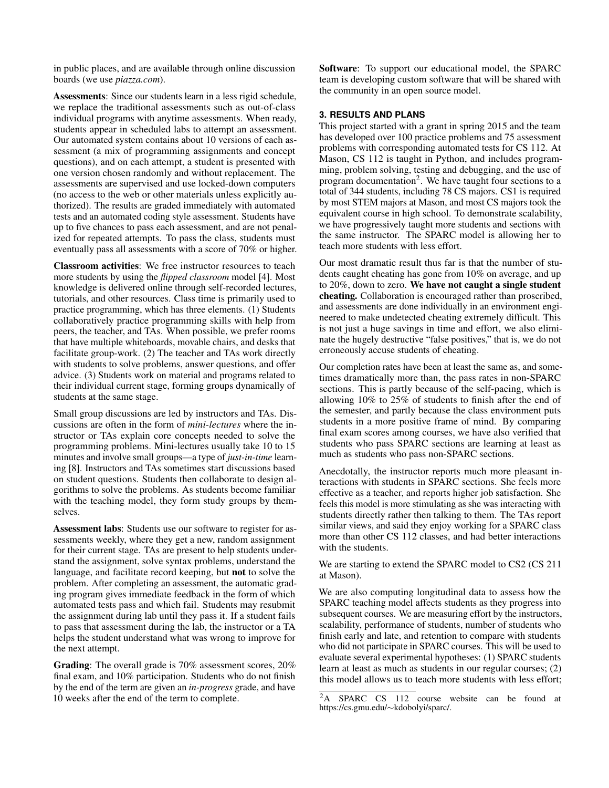in public places, and are available through online discussion boards (we use *piazza.com*).

Assessments: Since our students learn in a less rigid schedule, we replace the traditional assessments such as out-of-class individual programs with anytime assessments. When ready, students appear in scheduled labs to attempt an assessment. Our automated system contains about 10 versions of each assessment (a mix of programming assignments and concept questions), and on each attempt, a student is presented with one version chosen randomly and without replacement. The assessments are supervised and use locked-down computers (no access to the web or other materials unless explicitly authorized). The results are graded immediately with automated tests and an automated coding style assessment. Students have up to five chances to pass each assessment, and are not penalized for repeated attempts. To pass the class, students must eventually pass all assessments with a score of 70% or higher.

Classroom activities: We free instructor resources to teach more students by using the *flipped classroom* model [\[4\]](#page-3-9). Most knowledge is delivered online through self-recorded lectures, tutorials, and other resources. Class time is primarily used to practice programming, which has three elements. (1) Students collaboratively practice programming skills with help from peers, the teacher, and TAs. When possible, we prefer rooms that have multiple whiteboards, movable chairs, and desks that facilitate group-work. (2) The teacher and TAs work directly with students to solve problems, answer questions, and offer advice. (3) Students work on material and programs related to their individual current stage, forming groups dynamically of students at the same stage.

Small group discussions are led by instructors and TAs. Discussions are often in the form of *mini-lectures* where the instructor or TAs explain core concepts needed to solve the programming problems. Mini-lectures usually take 10 to 15 minutes and involve small groups—a type of *just-in-time* learning [\[8\]](#page-3-10). Instructors and TAs sometimes start discussions based on student questions. Students then collaborate to design algorithms to solve the problems. As students become familiar with the teaching model, they form study groups by themselves.

Assessment labs: Students use our software to register for assessments weekly, where they get a new, random assignment for their current stage. TAs are present to help students understand the assignment, solve syntax problems, understand the language, and facilitate record keeping, but not to solve the problem. After completing an assessment, the automatic grading program gives immediate feedback in the form of which automated tests pass and which fail. Students may resubmit the assignment during lab until they pass it. If a student fails to pass that assessment during the lab, the instructor or a TA helps the student understand what was wrong to improve for the next attempt.

Grading: The overall grade is 70% assessment scores, 20% final exam, and 10% participation. Students who do not finish by the end of the term are given an *in-progress* grade, and have 10 weeks after the end of the term to complete.

Software: To support our educational model, the SPARC team is developing custom software that will be shared with the community in an open source model.

# **3. RESULTS AND PLANS**

This project started with a grant in spring 2015 and the team has developed over 100 practice problems and 75 assessment problems with corresponding automated tests for CS 112. At Mason, CS 112 is taught in Python, and includes programming, problem solving, testing and debugging, and the use of program documentation<sup>[2](#page-2-0)</sup>. We have taught four sections to a total of 344 students, including 78 CS majors. CS1 is required by most STEM majors at Mason, and most CS majors took the equivalent course in high school. To demonstrate scalability, we have progressively taught more students and sections with the same instructor. The SPARC model is allowing her to teach more students with less effort.

Our most dramatic result thus far is that the number of students caught cheating has gone from 10% on average, and up to 20%, down to zero. We have not caught a single student cheating. Collaboration is encouraged rather than proscribed, and assessments are done individually in an environment engineered to make undetected cheating extremely difficult. This is not just a huge savings in time and effort, we also eliminate the hugely destructive "false positives," that is, we do not erroneously accuse students of cheating.

Our completion rates have been at least the same as, and sometimes dramatically more than, the pass rates in non-SPARC sections. This is partly because of the self-pacing, which is allowing 10% to 25% of students to finish after the end of the semester, and partly because the class environment puts students in a more positive frame of mind. By comparing final exam scores among courses, we have also verified that students who pass SPARC sections are learning at least as much as students who pass non-SPARC sections.

Anecdotally, the instructor reports much more pleasant interactions with students in SPARC sections. She feels more effective as a teacher, and reports higher job satisfaction. She feels this model is more stimulating as she was interacting with students directly rather then talking to them. The TAs report similar views, and said they enjoy working for a SPARC class more than other CS 112 classes, and had better interactions with the students.

We are starting to extend the SPARC model to CS2 (CS 211) at Mason).

We are also computing longitudinal data to assess how the SPARC teaching model affects students as they progress into subsequent courses. We are measuring effort by the instructors, scalability, performance of students, number of students who finish early and late, and retention to compare with students who did not participate in SPARC courses. This will be used to evaluate several experimental hypotheses: (1) SPARC students learn at least as much as students in our regular courses; (2) this model allows us to teach more students with less effort;

<span id="page-2-0"></span><sup>&</sup>lt;sup>2</sup>A SPARC CS 112 course website can be found at https://cs.gmu.edu/∼kdobolyi/sparc/.